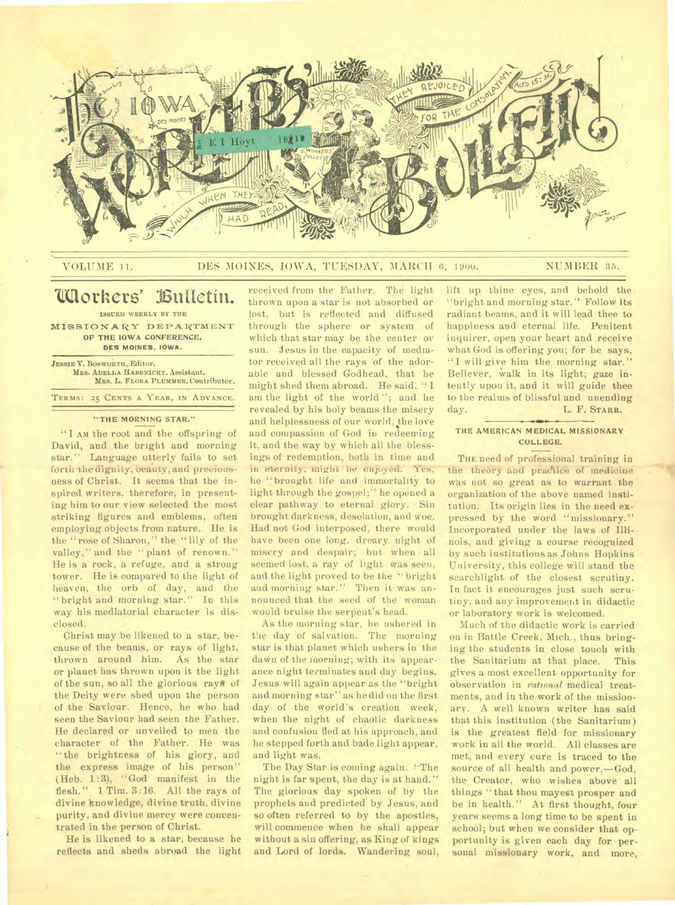

## VOLUME 11. DES MOINES, IOWA, TUESDAY, MARCH 6, 1900. NUMBER 35.

# **IlIaothers' Zuactin.**

**ISSUED WEEKLY BY THE MISSIONARY DEPARTMENT OF THE IOWA CONFERENCE, DES MOINES, IOWA.** 

**JESSIE V. BOSWORTH,** Editor. **MRS. ADELLA HABENICHT,** Assistant. **MRS. L. FLORA PLUMMER.** Contributor. **TERMS: 25 CENTS A YEAR, IN ADVANCE.** 

#### **"THE MORNING STAR."**

"I **AM** the root and the offspring of David, and the bright and morning star." Language utterly fails to set forth the dignity, beauty, and preciousness of Christ. It seems that the inspired writers, therefore, in presenting him to our view selected the most striking figures and emblems, often employing objects from nature. He is the " rose of Sharon," the " lily of the valley," and the "plant of renown." He is a rock, a refuge, and a strong tower. He is compared to the light of heaven, the orb of day, and the " bright and morning star." In this way his mediatorial character is disclosed.

Christ may be likened to a star, because of the beams, or rays of light, thrown around him. As the star or planet has thrown upon it the light of the sun, so all the glorious *rays* of the Deity were shed upon the person of the Saviour. Hence, *he* who had seen the Saviour had seen the Father. He declared or unveiled to men the character of the Father. He was " the brightness of his glory, and the express image of his person" (Heb. 1:3), "God manifest in the flesh." 1 Tim. 3:16. All the rays of divine knowledge, divine truth, divine purity, and divine mercy were concentrated in the person of Christ.

He is likened to a star, because he reflects and sheds abroad the light

received from the Father. The light thrown upon a star is not absorbed or lost, but is reflected and diffused through the sphere or system of which that star may be the center or sun. Jesus in the capacity of mediator received all the rays of the adorable and blessed Godhead, that he might shed them abroad. He said, " I am the light of the world "; and he revealed by his holy beams the misery and helplessness of our world, the love and compassion of God in redeeming it, and the way by which all the blessings of redemption, both in time and in eternity, might be enjoyed. Yes, he "brought life and immortality to light through the gospel;" he opened a clear pathway to eternal glory. Sin brought darkness, desolation, and woe. Had not God interposed, there would have been one long, dreary night of misery and despair; but when • all seemed lost, a ray of light was seen, and the light proved to be the " bright and morning star." Then it was announced that the seed of the' woman would bruise the serpent's head.

As the morning star, he ushered in the day of salvation. The morning star is that planet which ushers in the dawn of the morning; with its appearance night terminates and day begins. Jesus will again appear as the "bright and morning star" as he did on the first day of the world's creation week, when the night of chaotic darkness and confusion fled at his approach, and he stepped forth and bade light appear, and light was.

The Day Star is coming again. "The night is far spent, the day is at hand." The glorious day spoken of by the prophets and predicted by Jesus, and so often referred to by the apostles, will commence when he shall appear without a sin offering, as King of kings and Lord of lords. Wandering soul,

lift up thine eyes, and behold the "bright and morning star." Follow its radiant beams, and it will lead thee to happiness and eternal life. Penitent inquirer, open your heart and receive what God is offering you; for he says, "I will give him the morning star." Believer, Walk in its light; gaze intently upon it, and it will guide thee to the realms of blissful and unending day. L. F. **STARR.** 

## **THE AMERICAN MEDICAL MISSIONARY COLLEGE.**

THE need of professional training in the theory and practice of medicine Was not so great as to warrant the organization of the above named institution. Its origin lies in the need expressed by the word "missionary." Incorporated under the laws of Illinois, and giving a course recognized by such institutions as Johns Hopkins University, this college will stand the searchlight of the closest scrutiny. In fact it encourages just such scrutiny, and any improvement in didactic or laboratory work is welcomed.

Much of the didactic work is carried on in Battle Creek, Mich., thus bringing the students in close touch with<br>the Sanitarium at that place. This the Sanitarium at that place. gives a most excellent opportunity for Observation in *rational* medical treatments, and in the work of the missionary. A well known writer has said that this institution (the Sanitarium) is the greatest field for missionary work in all the world. All classes are met, and every cure is traced to the source of all health and power,—God, the Creator, who wishes above all things "that thou mayest prosper and be in health." At first thought, four years seems a long time to be spent in school; but when we consider that opportunity is given each day for personal missionary work, and more,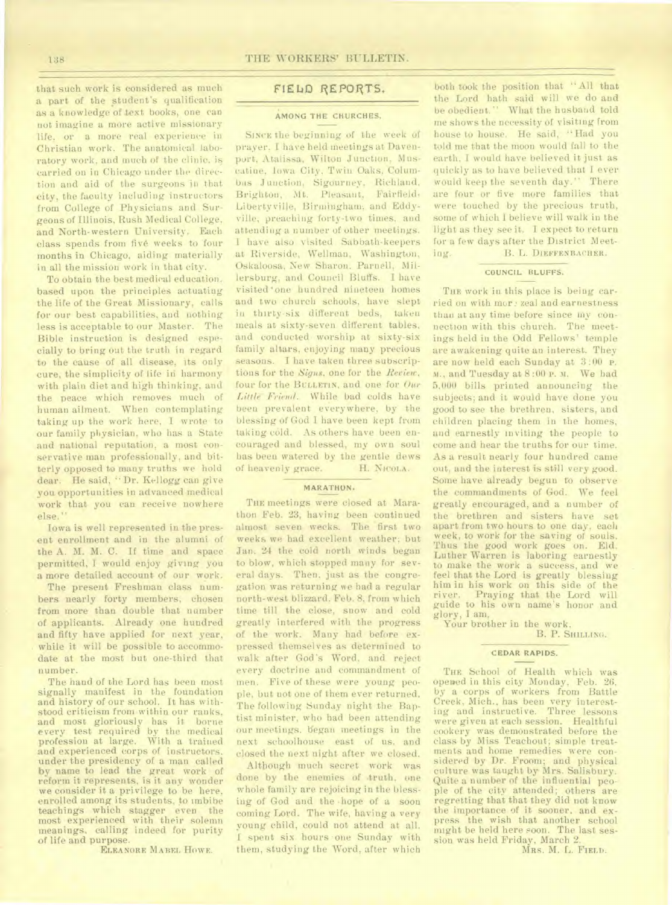that such work is considered as much a part of the student's qualification as a knowledge of text books, one can not imagine a more active missionary life, or a more real experience in Christian work. The anatomical laboratory work, and much of the clinic, is carried on in Chicago under the direction and aid of the surgeons in that city, the faculty including instructors from College of Physicians and Surgeons of Illinois, Rush Medical College, and North-western University. Each class spends from five weeks to 'four months in Chicago, aiding materially in all the mission work in that city.

To obtain the best medical education. based upon the principles actuating the life of the Great Missionary, calls for our best capabilities, and nothing less is acceptable to our Master. The Bible instruction is designed especially to bring out the truth in regard to the cause of all disease, its only cure, the simplicity of life in harmony with plain diet and high thinking, and the peace which removes much of human ailment. When contemplating taking up the work here, I wrote to our family physician, who has a State and national reputation, a most conservative man professionally, and bitterly opposed to many truths we hold dear. He said, "Dr. Kellogg can give you opportunities in advanced medical work that you can receive nowhere else."

Iowa is well represented in the present enrollment and in the alumni of the A. M. M. C. If time and space permitted, I would enjoy giving you a more detailed account of our work.

The present Freshman class numbers nearly forty members, chosen from more than double that number of applicants. Already one hundred and fifty have applied for next year, while it will be possible to accommodate at the most but one-third that number.

The hand of the Lord has been most signally manifest in the foundation and history of our school. It has withstood criticism from within our ranks, and most gloriously has it borne every test required by the medical profession at large. With a trained and experienced corps of instructors. under the presidency of a man called by name to lead the great work of reform it represents, is it any wonder we consider it a privilege to be here, enrolled among its students, to imbibe teachings which stagger even the most experienced with their solemn meanings, calling indeed for purity of life and purpose.

**ELEANORE MABEL HOWE.** 

# FIELID REPORTS.

### **AMONG THE CHURCHES.**

**SINCE** the beginning of the week of prayer. I have held meetings at Davenport, Atalissa, Wilton Junction, Mus-'catine, Iowa City, Twin Oaks, Columbus Junction, Sigourney, Richland, Brighton, Mt. Pleasant, Fairfield, Libertyville, Birmingham; and Eddyville, preaching forty-two times, and attending a number of other meetings. I have also visited Sabbath-keepers at Riverside, Wellmau, Washington, Oskaloosa, New Sharon. Parnell, Millersburg, and **Council** Bluffs. I have visited one hundred nineteen homes and two church schools, have slept in thirty-six different beds, taken meals at sixty-seven different tables, and conducted worship at sixty-six family altars, enjoying many precious seasons. I have taken three subscriptions for the *Signs,* one for the *Review,*  four for the **BULLETIN,** and one for *Our Little-Friend.* While bad colds have been prevalent everywhere, by the blessing of God I have been kept from taking cold. As others have been encouraged and blessed, my own soul has been watered by the gentle dews of heavenly grace. H. **NICOLA.** 

## **MARATHON.**

THE meetings were closed at Marathon Feb. 23, having been continued almost seven weeks. The first two weeks we had excellent weather; but Jan. 24 the cold north winds began to blow, which stopped many for several days. Then, just as the congregation was returning we had a regular north-west blizzard. Feb. 8, from which time till the close, snow and cold greatly interfered with the progress of the work. Many had before expressed themselves as determined to walk after God's Word, and reject every doctrine and commandment of men. Five of these were young people, but not one of them ever returned. The following Sunday night the Baptist minister, who had been attending our meetings. began meetings in the next schoolhouse east of us. and closed the next night after we closed.

Although much secret work was done by the enemies of truth, one whole family are rejoicing in the blessing of God and the -hope of a soon coming Lord. The wife, having a very young child, could not attend at all. I spent six hours one Sunday with them, studying the Word, after which

both took the position that "All that the Lord hath said will we do and be obedient." What the husband told me shows the necessity of visiting from house to house. He said, "Had you told me that the moon would fall to the earth, I would have believed it just as quickly as to have believed that I ever would keep the seventh day." There are four or five more families that were touched by the precious truth, some of which I believe will walk in the light as they see it. I expect to return for a few days after the District Meeting. B. L. **DIEFFENBACHER.** 

#### **COUNCIL BLUFFS.**

THE work in this place is being carried on with mor *zeal* and earnestness than at any time before since my connection with this church. The meetings held in the Odd Fellows' temple are awakening quite an interest. They are now held each Sunday at 3:00 **P. M.,** and Tuesday at 8:00 **P.** m. We had 5,000 bills printed announcing the subjects; and it would have done you good to see the brethren, sisters, and children placing them in the homes, and earnestly inviting the people to come and hear the truths for our time. As a result nearly four hundred came out, and the interest is still very good. Some have already begun to observe the commandments of God. We feel greatly encouraged, and a number of the brethren and sisters have set apart from two hours to one day, each week, to work for the saving of souls. Thus the good work goes on. Eld. Luther Warren is laboring earnestly to make the work a success, and we feel that the Lord is greatly blessing him in his work on this side of the river. Praying that the Lord will guide to his own name's honor and glory, I am,

Your brother in the work,

B. P. SHILLING.

#### **CEDAR RAPIDS.**

THE School of Health which was opened in this city Monday, Feb. 26, by a corps of workers from Battle Creek, Mich., has been very interesting and instructive. Three lessons were given at each session. Healthful cookery was demonstrated before the class by Miss Teachout; simple treatments and home remedies were considered by Dr. Froom; and physical culture was taught by Mrs. Salisbury. Quite a number of the influential people of the city attended; others are regretting that that they did not know the importance of it sooner, and express the wish that another school might be held here soon. The last session was held Friday, March 2.

**MRS. M. L. FIELD.**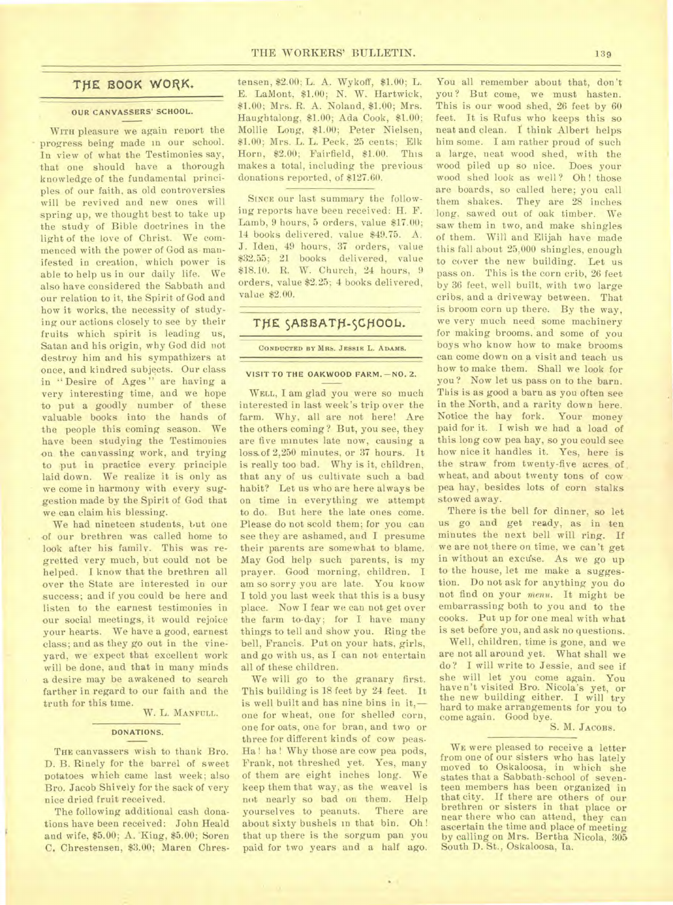# THE BOOK WORK.

#### **OUR CANVASSERS' SCHOOL.**

WITH pleasure we again report the progress being made in our school. In view of what the Testimonies say, that one should have a thorough knowledge of the fundamental principles of our faith, as old controversies will be revived and new ones will spring up, we thought best to take up the study of Bible doctrines in the light of the love of Christ. We commenced with the power of God as manifested in creation, which power is able to help us in our daily life. We also have considered the Sabbath and our relation to it, the Spirit of God and how it works, the necessity of studying our actions closely to see by their fruits which spirit is leading us, Satan and his origin, why God did not destroy him and his sympathizers at once, and kindred subjects. Our class in "Desire of Ages" are having a very interesting time, and we hope to put a goodly number of these valuable books into the hands of the people this coming season. We have been studying the Testimonies on the canvassing work, and trying to put in practice every principle laid down. We realize it is only as we come in harmony with every suggestion made by the Spirit of God that we can claim his blessing.

We had nineteen students, but one of our brethren was called home to look after his family. This was regretted very much, but could not be helped. I know that the brethren all over the State are interested in our success; and if you could be here and listen to the earnest testimonies in our social meetings, it would rejoice your hearts. We have a good, earnest class; and as they go out in the vineyard, we expect that excellent work will be done, and that in many minds a desire may be awakened to search farther in regard to our faith and the truth for this time.

#### W. L. MANFULL.

## **DONATIONS.**

THE canvassers wish to thank Bro. D. B. Rinely for the barrel of sweet potatoes which came last week; also Bro. Jacob Shively for the sack of very nice dried fruit received.

The following additional cash donations have been received: John Heald and wife, \$5.00; A. King, \$5.00; Soren C. Chrestensen, \$3.00; Maren Chrestensen, \$2.00; L. A. Wykoff, \$1.00; L. E. LaMont, \$1.00; N. W. Hartwick, \$1.00; Mrs. R. A. Noland, \$1.00; Mrs. Haughtalong, \$1.00; Ada Cook, \$1.00; Mollie Long, \$1.00; Peter Nielsen, \$1.00; Mrs. L. L. Peck. 25 cents; Elk Horn, \$2.00; Fairfield, \$1.00. This makes a total, including the previous donations reported, of \$127.60.

SINCE our last summary the following reports have been received: H. F. Lamb, 9 hours, 5 orders, value \$17.00; 14 books delivered, value \$49.75. A. J. Iden, 49 hours, 37 orders, value \$32.55; 21 books delivered, value \$18.10. R. W. Church, 24 hours, 9 orders, value \$2.25; 4 books delivered, value \$2.00.

# THE SABBATH-SCHOOL.

CONDUCTED BY MRS. JESSIE L. ADAMS.

### **VISIT TO THE OAKWOOD FARM. - NO. 2.**

WELL, I am glad you were so much interested in last week's trip over the farm. Why, all are not here! Are the others coming? But, you see, they are five minutes late now, causing a loss of 2,250 minutes, or 37 hours. It is really too bad. Why is it, children, that any of us cultivate such a bad habit? Let us who are here always be on time in everything we attempt to do. But here the late ones come. Please do not scold them; for you can see they are ashamed, and I presume their parents are somewhat to blame. May God help such parents, is my prayer. Good morning, children. I am so sorry you are late. You know I told you last week that this is a busy place. Now I fear we can not get over the farm to-day; for I have many things to tell and show you. Ring the bell, Francis. Put on your hats, girls, and go with us, as I can not entertain all of these children.

We will go to the granary first. This building is 18 feet by 24 feet. It is well built and has nine bins in it, one for wheat, one for shelled corn, one for oats, one for bran, and two or three for different kinds of cow peas. Ha! ha! Why those are cow pea pods, Frank, not threshed yet. Yes, many of them are eight inches long. We keep them that way, as the weavel is not nearly so bad on them. Help yourselves to peanuts. There are about sixty bushels in that bin. Oh ! that up there is the sorgum pan you paid for two years and a half ago.

You all remember about that, don't you? But come, we must hasten. This is our wood shed, 26 feet by 60 feet. It is Rufus who keeps this so neat and clean. I think Albert helps him some. I am rather proud of such a large, neat wood shed, with the wood piled up so nice. Does your wood shed look as well? Oh! those are boards, so called here; you call them shakes. They are 28 inches long, sawed out of oak timber. We saw them in two, and make shingles of them. Will and Elijah have made this fall about 25,000 shingles, enough to cover the new building. Let us pass on. This is the corn crib, 26 feet by 36 feet, well built, with two large cribs, and a driveway between. That is broom corn up there. By the way, we very much need some machinery for making brooms, and some of you boys who know how to make brooms can come down on a visit and teach us how to make them. Shall we look for you? Now let us pass on to the barn. This is as good a barn as you often see in the North, and a rarity down here. Notice the hay fork. Your money paid for it. I wish we had a load of this long cow pea hay, so you could see how nice it handles it. Yes, here is the straw from twenty-five acres of wheat, and about twenty tons of cow pea hay, besides lots of corn stalks stowed away.

There is the bell for dinner, so let us go and get ready, as in ten minutes the next bell will ring. If we are not there on time, we can't get in without an excuse. As we go up to the house, let me make a suggestion. Do not ask for anything you do not find on your *menu.* It might be embarrassing both to you and to the cooks. Put up for one meal with what is set before you, and ask no questions.

Well, children, time is gone, and we are not all around yet. What shall we do? I will write to Jessie, and see if she will let you come again. You haven't visited Bro. Nicola's yet, or the new building either. I will try hard to make arrangements for you to come again. Good bye.

# S. M. JACOBS.

WE were pleased to receive a letter from one of our sisters who has lately moved to Oskaloosa, in which she states that a Sabbath-school of seventeen members has been organized in that city. If there are others of our brethren or sisters in that place or near there who can attend, they can ascertain the time and place of meeting by calling on Mrs. Bertha Nicola, 305 South D. St., Oskaloosa, Ia.